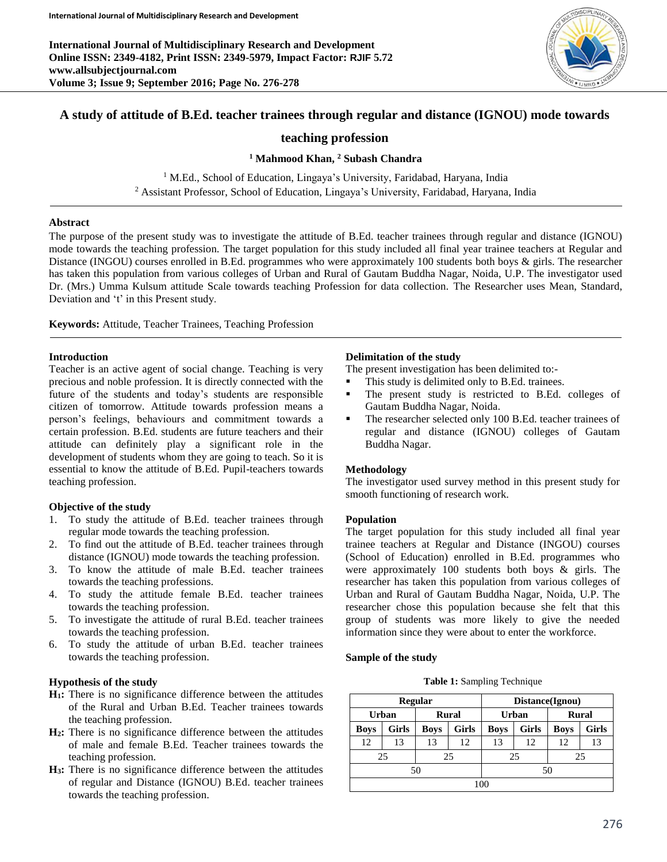**International Journal of Multidisciplinary Research and Development Online ISSN: 2349-4182, Print ISSN: 2349-5979, Impact Factor: RJIF 5.72 www.allsubjectjournal.com Volume 3; Issue 9; September 2016; Page No. 276-278**



# **A study of attitude of B.Ed. teacher trainees through regular and distance (IGNOU) mode towards**

# **teaching profession**

**<sup>1</sup> Mahmood Khan, <sup>2</sup> Subash Chandra**

<sup>1</sup> M.Ed., School of Education, Lingaya's University, Faridabad, Haryana, India <sup>2</sup> Assistant Professor, School of Education, Lingaya's University, Faridabad, Haryana, India

# **Abstract**

The purpose of the present study was to investigate the attitude of B.Ed. teacher trainees through regular and distance (IGNOU) mode towards the teaching profession. The target population for this study included all final year trainee teachers at Regular and Distance (INGOU) courses enrolled in B.Ed. programmes who were approximately 100 students both boys & girls. The researcher has taken this population from various colleges of Urban and Rural of Gautam Buddha Nagar, Noida, U.P. The investigator used Dr. (Mrs.) Umma Kulsum attitude Scale towards teaching Profession for data collection. The Researcher uses Mean, Standard, Deviation and 't' in this Present study.

**Keywords:** Attitude, Teacher Trainees, Teaching Profession

## **Introduction**

Teacher is an active agent of social change. Teaching is very precious and noble profession. It is directly connected with the future of the students and today's students are responsible citizen of tomorrow. Attitude towards profession means a person's feelings, behaviours and commitment towards a certain profession. B.Ed. students are future teachers and their attitude can definitely play a significant role in the development of students whom they are going to teach. So it is essential to know the attitude of B.Ed. Pupil-teachers towards teaching profession.

## **Objective of the study**

- 1. To study the attitude of B.Ed. teacher trainees through regular mode towards the teaching profession.
- 2. To find out the attitude of B.Ed. teacher trainees through distance (IGNOU) mode towards the teaching profession.
- 3. To know the attitude of male B.Ed. teacher trainees towards the teaching professions.
- 4. To study the attitude female B.Ed. teacher trainees towards the teaching profession.
- 5. To investigate the attitude of rural B.Ed. teacher trainees towards the teaching profession.
- 6. To study the attitude of urban B.Ed. teacher trainees towards the teaching profession.

# **Hypothesis of the study**

- **H1:** There is no significance difference between the attitudes of the Rural and Urban B.Ed. Teacher trainees towards the teaching profession.
- **H2:** There is no significance difference between the attitudes of male and female B.Ed. Teacher trainees towards the teaching profession.
- **H3:** There is no significance difference between the attitudes of regular and Distance (IGNOU) B.Ed. teacher trainees towards the teaching profession.

# **Delimitation of the study**

The present investigation has been delimited to:-

- This study is delimited only to B.Ed. trainees.
- The present study is restricted to B.Ed. colleges of Gautam Buddha Nagar, Noida.
- The researcher selected only 100 B.Ed. teacher trainees of regular and distance (IGNOU) colleges of Gautam Buddha Nagar.

## **Methodology**

The investigator used survey method in this present study for smooth functioning of research work.

## **Population**

The target population for this study included all final year trainee teachers at Regular and Distance (INGOU) courses (School of Education) enrolled in B.Ed. programmes who were approximately 100 students both boys & girls. The researcher has taken this population from various colleges of Urban and Rural of Gautam Buddha Nagar, Noida, U.P. The researcher chose this population because she felt that this group of students was more likely to give the needed information since they were about to enter the workforce.

## **Sample of the study**

**Table 1:** Sampling Technique

|             |              | <b>Regular</b> |              | Distance(Ignou) |              |              |              |
|-------------|--------------|----------------|--------------|-----------------|--------------|--------------|--------------|
|             | Urban        | <b>Rural</b>   |              | Urban           |              | <b>Rural</b> |              |
| <b>Boys</b> | <b>Girls</b> | <b>Boys</b>    | <b>Girls</b> | <b>Boys</b>     | <b>Girls</b> | <b>Boys</b>  | <b>Girls</b> |
| 12          | 13           | 13             | 12           | 13              | 12           | 12           | 13           |
|             | 25           |                | 25           | 25<br>25        |              |              |              |
|             |              | 50             |              | 50              |              |              |              |
| 100         |              |                |              |                 |              |              |              |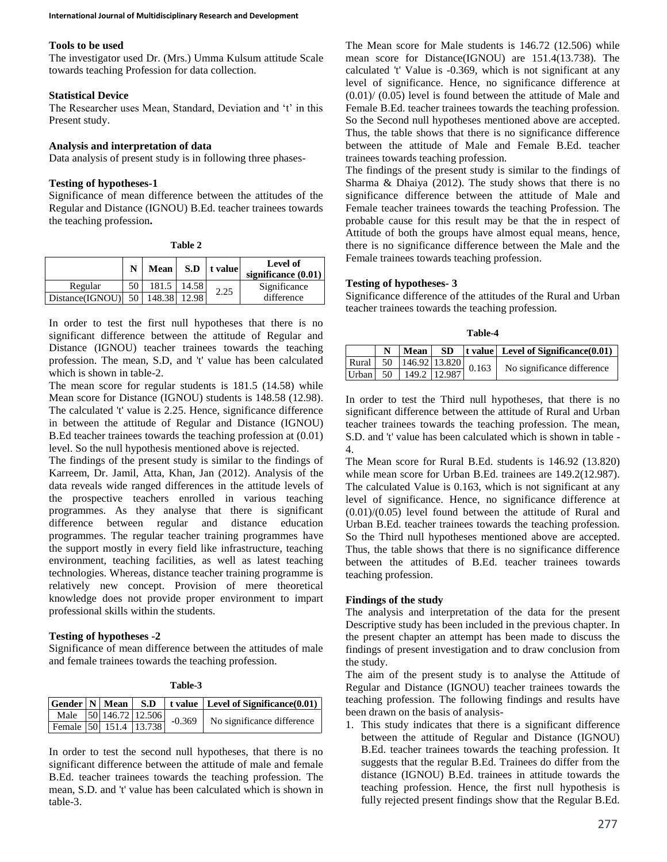#### **Tools to be used**

The investigator used Dr. (Mrs.) Umma Kulsum attitude Scale towards teaching Profession for data collection.

# **Statistical Device**

The Researcher uses Mean, Standard, Deviation and 't' in this Present study.

#### **Analysis and interpretation of data**

Data analysis of present study is in following three phases-

#### **Testing of hypotheses-1**

Significance of mean difference between the attitudes of the Regular and Distance (IGNOU) B.Ed. teacher trainees towards the teaching profession**.**

| ١F<br>anı |  |
|-----------|--|
|-----------|--|

|                      | N  | Mean         |       | $S.D$   t value | Level of<br>significance $(0.01)$ |
|----------------------|----|--------------|-------|-----------------|-----------------------------------|
| Regular              | 50 | 181.5        | 14.58 | 2.25            | Significance                      |
| $Distance(IGNOU)$ 50 |    | 148.38 12.98 |       |                 | difference                        |

In order to test the first null hypotheses that there is no significant difference between the attitude of Regular and Distance (IGNOU) teacher trainees towards the teaching profession. The mean, S.D, and 't' value has been calculated which is shown in table-2.

The mean score for regular students is 181.5 (14.58) while Mean score for Distance (IGNOU) students is 148.58 (12.98). The calculated 't' value is 2.25. Hence, significance difference in between the attitude of Regular and Distance (IGNOU) B.Ed teacher trainees towards the teaching profession at (0.01) level. So the null hypothesis mentioned above is rejected.

The findings of the present study is similar to the findings of Karreem, Dr. Jamil, Atta, Khan, Jan (2012). Analysis of the data reveals wide ranged differences in the attitude levels of the prospective teachers enrolled in various teaching programmes. As they analyse that there is significant difference between regular and distance education programmes. The regular teacher training programmes have the support mostly in every field like infrastructure, teaching environment, teaching facilities, as well as latest teaching technologies. Whereas, distance teacher training programme is relatively new concept. Provision of mere theoretical knowledge does not provide proper environment to impart professional skills within the students.

# **Testing of hypotheses -2**

Significance of mean difference between the attitudes of male and female trainees towards the teaching profession.

|                                     |  |  | $  \text{Gender}   N   \text{Mean}   S.D   t value   Level of Significance(0.01)  $ |
|-------------------------------------|--|--|-------------------------------------------------------------------------------------|
| Male $50\overline{146.72}$   12.506 |  |  | $\vert$ -0.369 No significance difference $\vert$                                   |
| Female 50 151.4 13.738              |  |  |                                                                                     |

In order to test the second null hypotheses, that there is no significant difference between the attitude of male and female B.Ed. teacher trainees towards the teaching profession. The mean, S.D. and 't' value has been calculated which is shown in table-3.

The Mean score for Male students is 146.72 (12.506) while mean score for Distance(IGNOU) are 151.4(13.738). The calculated 't' Value is -0.369, which is not significant at any level of significance. Hence, no significance difference at  $(0.01)$ / $(0.05)$  level is found between the attitude of Male and Female B.Ed. teacher trainees towards the teaching profession. So the Second null hypotheses mentioned above are accepted. Thus, the table shows that there is no significance difference between the attitude of Male and Female B.Ed. teacher trainees towards teaching profession.

The findings of the present study is similar to the findings of Sharma & Dhaiya (2012). The study shows that there is no significance difference between the attitude of Male and Female teacher trainees towards the teaching Profession. The probable cause for this result may be that the in respect of Attitude of both the groups have almost equal means, hence, there is no significance difference between the Male and the Female trainees towards teaching profession.

#### **Testing of hypotheses- 3**

Significance difference of the attitudes of the Rural and Urban teacher trainees towards the teaching profession.

**Table-4**

|  |  |  | $N$   Mean   SD   t value   Level of Significance $(0.01)$                                                                                             |
|--|--|--|--------------------------------------------------------------------------------------------------------------------------------------------------------|
|  |  |  | Rural $\begin{array}{ c c c c c c c c c } \hline \text{Rural} & 50 & 146.92 & 13.820 & 0.163 & \text{No significance difference} \\\hline \end{array}$ |
|  |  |  |                                                                                                                                                        |

In order to test the Third null hypotheses, that there is no significant difference between the attitude of Rural and Urban teacher trainees towards the teaching profession. The mean, S.D. and 't' value has been calculated which is shown in table - 4.

The Mean score for Rural B.Ed. students is 146.92 (13.820) while mean score for Urban B.Ed. trainees are 149.2(12.987). The calculated Value is 0.163, which is not significant at any level of significance. Hence, no significance difference at (0.01)/(0.05) level found between the attitude of Rural and Urban B.Ed. teacher trainees towards the teaching profession. So the Third null hypotheses mentioned above are accepted. Thus, the table shows that there is no significance difference between the attitudes of B.Ed. teacher trainees towards teaching profession.

## **Findings of the study**

The analysis and interpretation of the data for the present Descriptive study has been included in the previous chapter. In the present chapter an attempt has been made to discuss the findings of present investigation and to draw conclusion from the study.

The aim of the present study is to analyse the Attitude of Regular and Distance (IGNOU) teacher trainees towards the teaching profession. The following findings and results have been drawn on the basis of analysis-

1. This study indicates that there is a significant difference between the attitude of Regular and Distance (IGNOU) B.Ed. teacher trainees towards the teaching profession. It suggests that the regular B.Ed. Trainees do differ from the distance (IGNOU) B.Ed. trainees in attitude towards the teaching profession. Hence, the first null hypothesis is fully rejected present findings show that the Regular B.Ed.